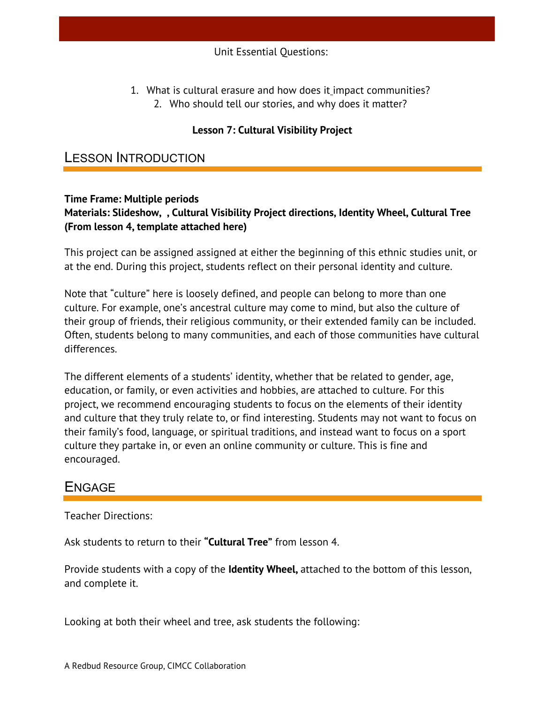1. What is cultural erasure and how does it impact communities? 2. Who should tell our stories, and why does it matter?

### **Lesson 7: Cultural Visibility Project**

### LESSON INTRODUCTION

#### **Time Frame: Multiple periods Materials: Slideshow, , Cultural Visibility Project directions, Identity Wheel, Cultural Tree (From lesson 4, template attached here)**

This project can be assigned assigned at either the beginning of this ethnic studies unit, or at the end. During this project, students reflect on their personal identity and culture.

Note that "culture" here is loosely defined, and people can belong to more than one culture. For example, one's ancestral culture may come to mind, but also the culture of their group of friends, their religious community, or their extended family can be included. Often, students belong to many communities, and each of those communities have cultural differences.

The different elements of a students' identity, whether that be related to gender, age, education, or family, or even activities and hobbies, are attached to culture. For this project, we recommend encouraging students to focus on the elements of their identity and culture that they truly relate to, or find interesting. Students may not want to focus on their family's food, language, or spiritual traditions, and instead want to focus on a sport culture they partake in, or even an online community or culture. This is fine and encouraged.

# ENGAGE

Teacher Directions:

Ask students to return to their **"Cultural Tree"** from lesson 4.

Provide students with a copy of the **Identity Wheel,** attached to the bottom of this lesson, and complete it.

Looking at both their wheel and tree, ask students the following: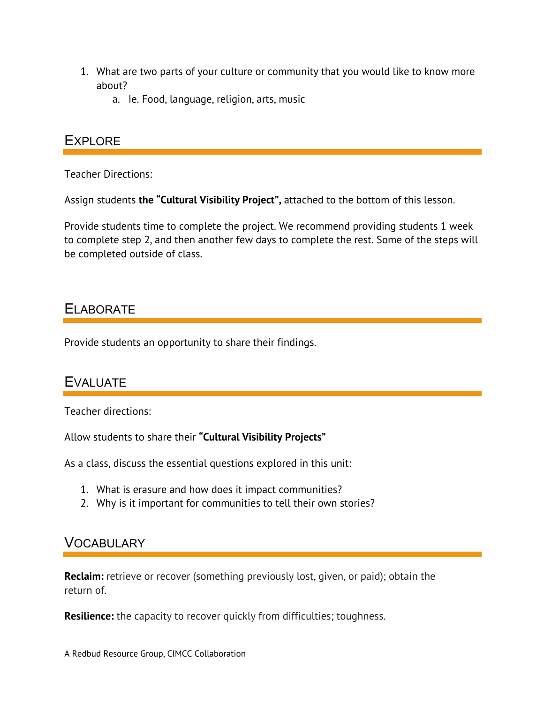- 1. What are two parts of your culture or community that you would like to know more about?
	- a. Ie. Food, language, religion, arts, music

### **EXPLORE**

Teacher Directions:

Assign students **the "Cultural Visibility Project",** attached to the bottom of this lesson.

Provide students time to complete the project. We recommend providing students 1 week to complete step 2, and then another few days to complete the rest. Some of the steps will be completed outside of class.

# ELABORATE

Provide students an opportunity to share their findings.

# EVALUATE

Teacher directions:

Allow students to share their **"Cultural Visibility Projects"**

As a class, discuss the essential questions explored in this unit:

- 1. What is erasure and how does it impact communities?
- 2. Why is it important for communities to tell their own stories?

# **VOCABULARY**

**Reclaim:** retrieve or recover (something previously lost, given, or paid); obtain the return of.

**Resilience:** the capacity to recover quickly from difficulties; toughness.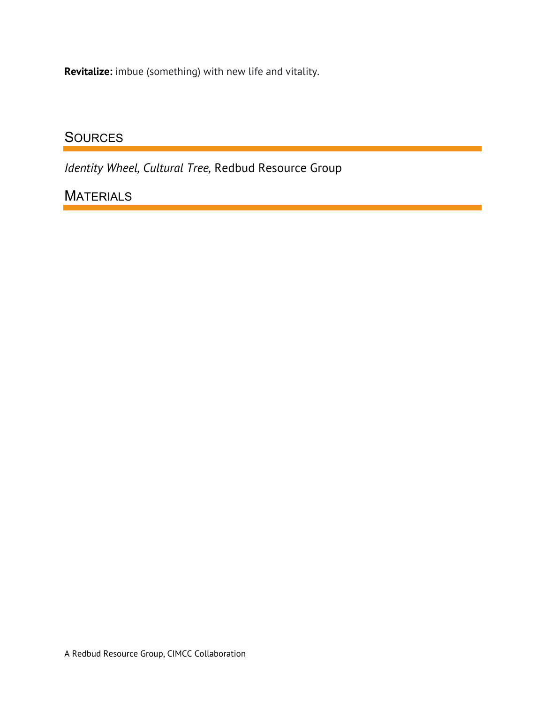**Revitalize:** imbue (something) with new life and vitality.

# **SOURCES**

*Identity Wheel, Cultural Tree,* Redbud Resource Group

# **MATERIALS**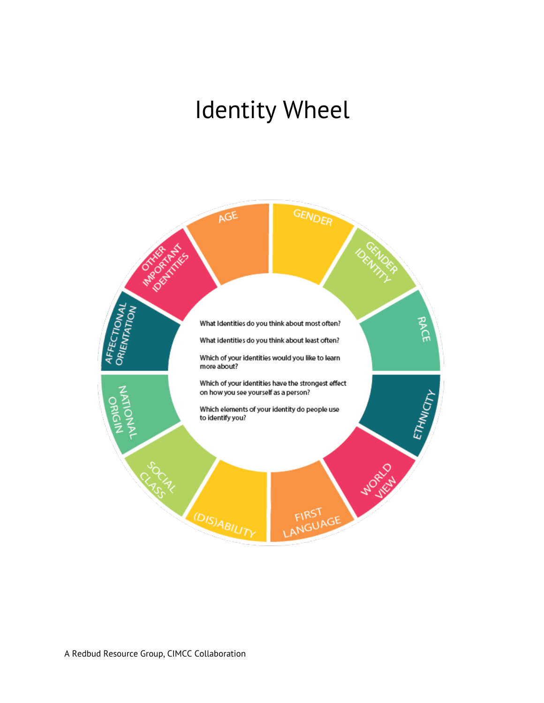# Identity Wheel

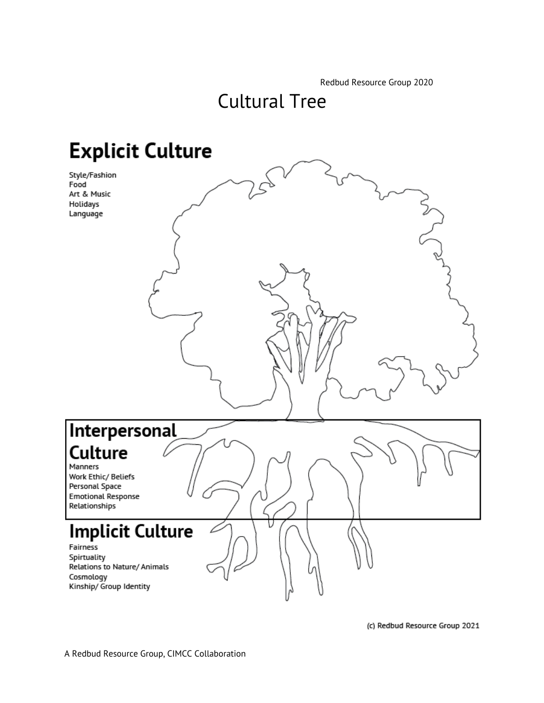Redbud Resource Group 2020

# Cultural Tree

# **Explicit Culture**

Style/Fashion Food Art & Music Holidays Language



(c) Redbud Resource Group 2021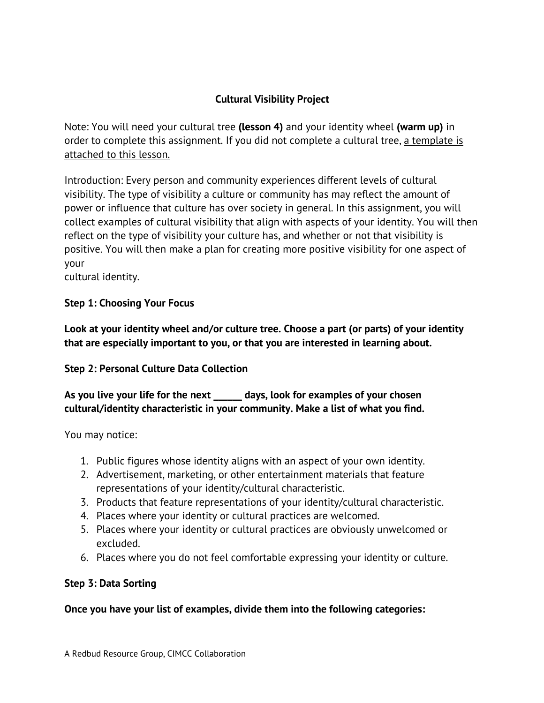### **Cultural Visibility Project**

Note: You will need your cultural tree **(lesson 4)** and your identity wheel **(warm up)** in order to complete this assignment. If you did not complete a cultural tree, a template is attached to this lesson.

Introduction: Every person and community experiences different levels of cultural visibility. The type of visibility a culture or community has may reflect the amount of power or influence that culture has over society in general. In this assignment, you will collect examples of cultural visibility that align with aspects of your identity. You will then reflect on the type of visibility your culture has, and whether or not that visibility is positive. You will then make a plan for creating more positive visibility for one aspect of your

cultural identity.

### **Step 1: Choosing Your Focus**

**Look at your identity wheel and/or culture tree. Choose a part (or parts) of your identity that are especially important to you, or that you are interested in learning about.**

### **Step 2: Personal Culture Data Collection**

**As you live your life for the next \_\_\_\_\_\_ days, look for examples of your chosen cultural/identity characteristic in your community. Make a list of what you find.**

You may notice:

- 1. Public figures whose identity aligns with an aspect of your own identity.
- 2. Advertisement, marketing, or other entertainment materials that feature representations of your identity/cultural characteristic.
- 3. Products that feature representations of your identity/cultural characteristic.
- 4. Places where your identity or cultural practices are welcomed.
- 5. Places where your identity or cultural practices are obviously unwelcomed or excluded.
- 6. Places where you do not feel comfortable expressing your identity or culture.

### **Step 3: Data Sorting**

**Once you have your list of examples, divide them into the following categories:**